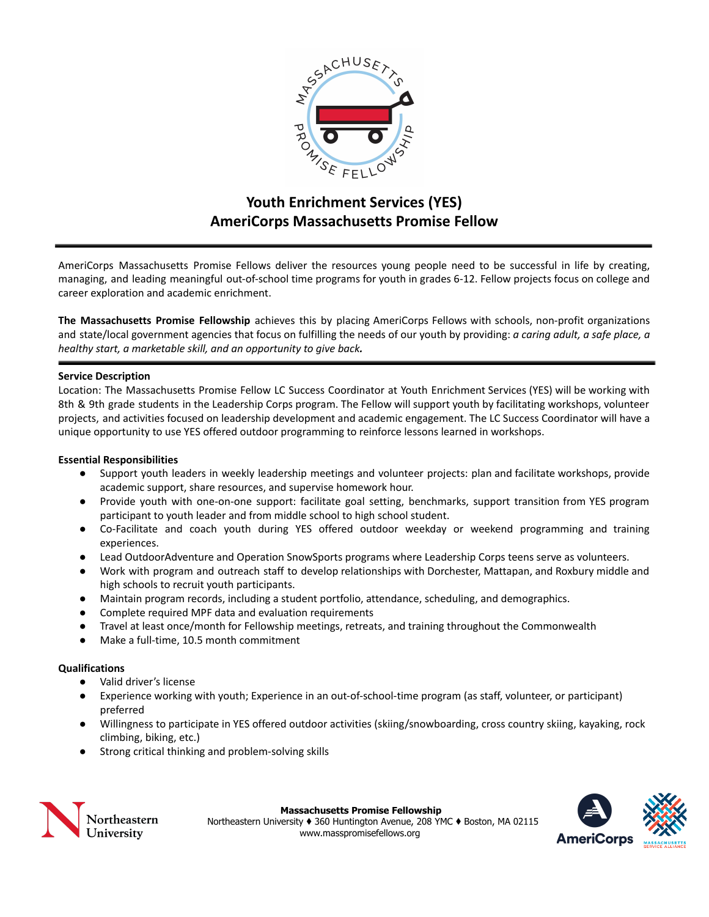

# **Youth Enrichment Services (YES) AmeriCorps Massachusetts Promise Fellow**

AmeriCorps Massachusetts Promise Fellows deliver the resources young people need to be successful in life by creating, managing, and leading meaningful out-of-school time programs for youth in grades 6-12. Fellow projects focus on college and career exploration and academic enrichment.

**The Massachusetts Promise Fellowship** achieves this by placing AmeriCorps Fellows with schools, non-profit organizations and state/local government agencies that focus on fulfilling the needs of our youth by providing: *a caring adult, a safe place, a healthy start, a marketable skill, and an opportunity to give back.*

#### **Service Description**

Location: The Massachusetts Promise Fellow LC Success Coordinator at Youth Enrichment Services (YES) will be working with 8th & 9th grade students in the Leadership Corps program. The Fellow will support youth by facilitating workshops, volunteer projects, and activities focused on leadership development and academic engagement. The LC Success Coordinator will have a unique opportunity to use YES offered outdoor programming to reinforce lessons learned in workshops.

#### **Essential Responsibilities**

- Support youth leaders in weekly leadership meetings and volunteer projects: plan and facilitate workshops, provide academic support, share resources, and supervise homework hour.
- Provide youth with one-on-one support: facilitate goal setting, benchmarks, support transition from YES program participant to youth leader and from middle school to high school student.
- Co-Facilitate and coach youth during YES offered outdoor weekday or weekend programming and training experiences.
- Lead OutdoorAdventure and Operation SnowSports programs where Leadership Corps teens serve as volunteers.
- Work with program and outreach staff to develop relationships with Dorchester, Mattapan, and Roxbury middle and high schools to recruit youth participants.
- Maintain program records, including a student portfolio, attendance, scheduling, and demographics.
- Complete required MPF data and evaluation requirements
- Travel at least once/month for Fellowship meetings, retreats, and training throughout the Commonwealth
- Make a full-time, 10.5 month commitment

## **Qualifications**

- Valid driver's license
- Experience working with youth; Experience in an out-of-school-time program (as staff, volunteer, or participant) preferred
- Willingness to participate in YES offered outdoor activities (skiing/snowboarding, cross country skiing, kayaking, rock climbing, biking, etc.)
- Strong critical thinking and problem-solving skills



**Massachusetts Promise Fellowship** Northeastern University ♦ 360 Huntington Avenue, 208 YMC ♦ Boston, MA 02115 www.masspromisefellows.org